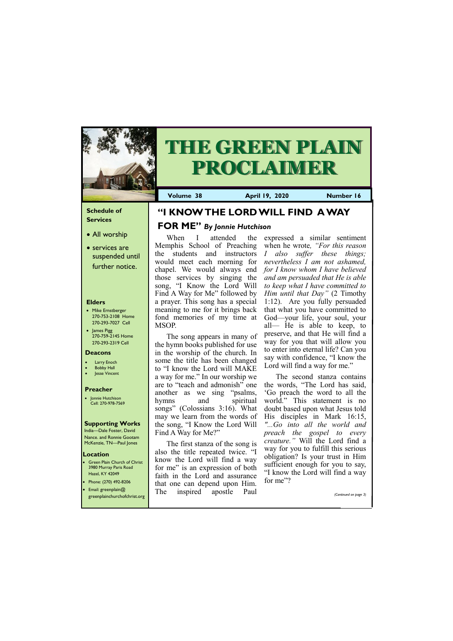### **Schedule of Services**

- All worship
- services are suspended until further notice.

#### **Elders**

- Mike Ernstberger 270-753-2108 Home 270-293-7027 Cell
- James Pigg 270-759-2145 Home 270-293-2319 Cell

Green Plain Church of Christ 3980 Murray Paris Road Hazel, KY 42049 • Phone: (270) 492-8206

#### **Location**



# **THE GREEN PLAIN PROCLAIMER**

**Volume 38 April 19, 2020 Number 16**

#### **Deacons**

- **Larry Enoch**
- **Bobby Hall**
- **Jesse Vincent**

#### **Preacher**

• Jonnie Hutchison Cell: 270-978-7569

### **Supporting Works**

India—Dale Foster, David Nance. and Ronnie Gootam McKenzie, TN—Paul Jones

When I attended the Memphis School of Preaching the students and instructors would meet each morning for chapel. We would always end those services by singing the song, "I Know the Lord Will Find A Way for Me" followed by a prayer. This song has a special meaning to me for it brings back fond memories of my time at MSOP.

expressed a similar sentiment when he wrote*, "For this reason I also suffer these things; nevertheless I am not ashamed, for I know whom I have believed and am persuaded that He is able to keep what I have committed to Him until that Day"* (2 Timothy 1:12). Are you fully persuaded that what you have committed to God—your life, your soul, your all— He is able to keep, to preserve, and that He will find a way for you that will allow you to enter into eternal life? Can you say with confidence, "I know the Lord will find a way for me."

The second stanza contains the words, "The Lord has said, 'Go preach the word to all the world." This statement is no doubt based upon what Jesus told His disciples in Mark 16:15, *"...Go into all the world and preach the gospel to every creature."* Will the Lord find a way for you to fulfill this serious obligation? Is your trust in Him sufficient enough for you to say, "I know the Lord will find a way for me"?

The song appears in many of the hymn books published for use in the worship of the church. In some the title has been changed to "I know the Lord will MAKE a way for me." In our worship we are to "teach and admonish" one another as we sing "psalms, hymns and spiritual songs" (Colossians 3:16). What may we learn from the words of the song, "I Know the Lord Will Find A Way for Me?"

| Email: greenplain $@$<br>greenplainchurchofchrist.org | The | that one can depend upon Thim.<br>inspired apostle | Paul | (Continued on page 3) |
|-------------------------------------------------------|-----|----------------------------------------------------|------|-----------------------|
|                                                       |     |                                                    |      |                       |

The first stanza of the song is also the title repeated twice. "I know the Lord will find a way for me" is an expression of both faith in the Lord and assurance that one can depend upon Him.

### **"I KNOW THE LORD WILL FIND A WAY**

### **FOR ME"** *By Jonnie Hutchison*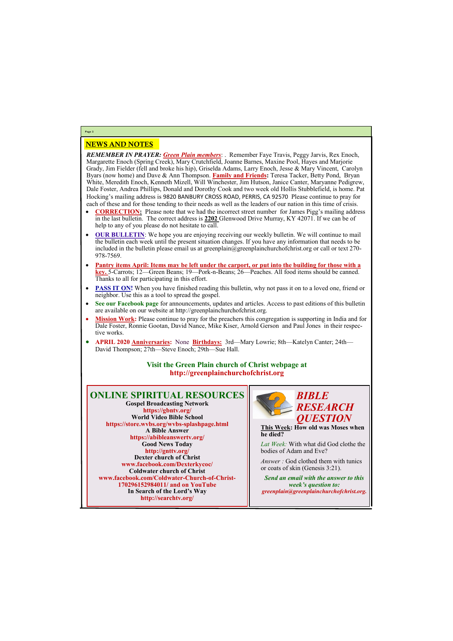## NEWS AND NOTES

*REMEMBER IN PRAYER: Green Plain members*: . Remember Faye Travis, Peggy Jarvis, Rex Enoch, Margarette Enoch (Spring Creek), Mary Crutchfield, Joanne Barnes, Maxine Pool, Hayes and Marjorie Grady, Jim Fielder (fell and broke his hip), Griselda Adams, Larry Enoch, Jesse & Mary Vincent, Carolyn Byars (now home) and Dave & Ann Thompson. **Family and Friends:** Teresa Tacker, Betty Pond, Bryan White, Meredith Enoch, Kenneth Mizell, Will Winchester, Jim Hutson, Janice Canter, Maryanne Pedigrew, Dale Foster, Andrea Phillips, Donald and Dorothy Cook and two week old Hollis Stubblefield, is home. Pat Hocking's mailing address is 9820 BANBURY CROSS ROAD, PERRIS, CA 92570 Please continue to pray for each of these and for those tending to their needs as well as the leaders of our nation in this time of crisis.

- **CORRECTION:** Please note that we had the incorrect street number for James Pigg's mailing address in the last bulletin. The correct address is **2202** Glenwood Drive Murray, KY 42071. If we can be of help to any of you please do not hesitate to call.
- **OUR BULLETIN:** We hope you are enjoying receiving our weekly bulletin. We will continue to mail the bulletin each week until the present situation changes. If you have any information that needs to be included in the bulletin please email us at greenplain $\omega$ greenplainchurchofchrist.org or call or text 270-978-7569.
- **Pantry items April: Items may be left under the carport, or put into the building for those with a key.** 5-Carrots; 12—Green Beans; 19—Pork-n-Beans; 26—Peaches. All food items should be canned. Thanks to all for participating in this effort.
- **PASS IT ON!** When you have finished reading this bulletin, why not pass it on to a loved one, friend or neighbor. Use this as a tool to spread the gospel.
- **See our Facebook page** for announcements, updates and articles. Access to past editions of this bulletin are available on our website at http://greenplainchurchofchrist.org.
- **Mission Work:** Please continue to pray for the preachers this congregation is supporting in India and for Dale Foster, Ronnie Gootan, David Nance, Mike Kiser, Arnold Gerson and Paul Jones in their respective works.
- **APRIL 2020 Anniversaries:** None **Birthdays:** 3rd—Mary Lowrie; 8th—Katelyn Canter; 24th— David Thompson; 27th—Steve Enoch; 29th—Sue Hall.

### **Visit the Green Plain church of Christ webpage at http://greenplainchurchofchrist.org**

**Page 2**



**170296152984011/ and on YouTube In Search of the Lord's Way http://searchtv.org/**



**This Week: How old was Moses when he died?**

*Lat Week:* With what did God clothe the bodies of Adam and Eve?

*Answer :* God clothed them with tunics or coats of skin (Genesis 3:21).

*Send an email with the answer to this week's question to: greenplain@greenplainchurchofchrist.org.*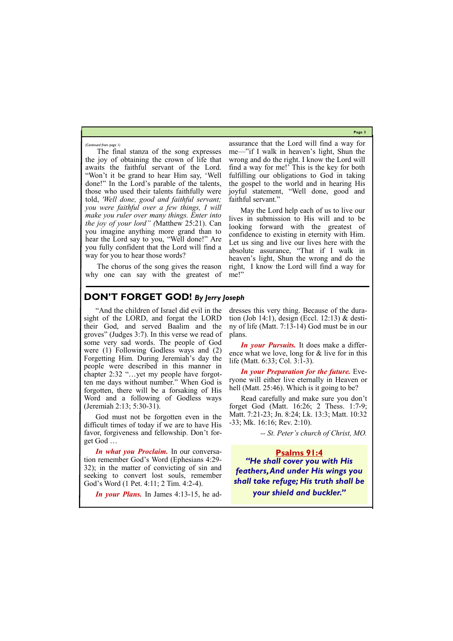**Page 3**

The final stanza of the song expresses the joy of obtaining the crown of life that awaits the faithful servant of the Lord. "Won't it be grand to hear Him say, 'Well done!" In the Lord's parable of the talents, those who used their talents faithfully were told, *'Well done, good and faithful servant; you were faithful over a few things, I will make you ruler over many things. Enter into the joy of your lord" (*Matthew 25:21). Can you imagine anything more grand than to hear the Lord say to you, "Well done!" Are you fully confident that the Lord will find a way for you to hear those words?

May the Lord help each of us to live our lives in submission to His will and to be looking forward with the greatest of confidence to existing in eternity with Him. Let us sing and live our lives here with the absolute assurance, "That if I walk in heaven's light, Shun the wrong and do the right, I know the Lord will find a way for me!"

The chorus of the song gives the reason why one can say with the greatest of assurance that the Lord will find a way for me—"if I walk in heaven's light, Shun the wrong and do the right. I know the Lord will find a way for me!' This is the key for both fulfilling our obligations to God in taking the gospel to the world and in hearing His joyful statement, "Well done, good and faithful servant."

*In your Preparation for the future.* Everyone will either live eternally in Heaven or hell (Matt. 25:46). Which is it going to be?

*(Continued from page 1)*

### **DON'T FORGET GOD!** *By Jerry Joseph*

"And the children of Israel did evil in the sight of the LORD, and forgat the LORD their God, and served Baalim and the groves" (Judges 3:7). In this verse we read of some very sad words. The people of God were (1) Following Godless ways and (2) Forgetting Him. During Jeremiah's day the people were described in this manner in chapter 2:32 "…yet my people have forgotten me days without number." When God is forgotten, there will be a forsaking of His Word and a following of Godless ways (Jeremiah 2:13; 5:30-31).

God must not be forgotten even in the difficult times of today if we are to have His favor, forgiveness and fellowship. Don't forget God …

*In what you Proclaim.* In our conversation remember God's Word (Ephesians 4:29- 32); in the matter of convicting of sin and seeking to convert lost souls, remember God's Word (1 Pet. 4:11; 2 Tim. 4:2-4).

*In your Plans.* In James 4:13-15, he ad-

dresses this very thing. Because of the duration (Job 14:1), design (Eccl. 12:13) & destiny of life (Matt. 7:13-14) God must be in our plans.

*In your Pursuits.* It does make a difference what we love, long for & live for in this life (Matt. 6:33; Col. 3:1-3).

Read carefully and make sure you don't forget God (Matt. 16:26; 2 Thess. 1:7-9; Matt. 7:21-23; Jn. 8:24; Lk. 13:3; Matt. 10:32 -33; Mk. 16:16; Rev. 2:10).

*-- St. Peter's church of Christ, MO.*

**Psalms 91:4** *"He shall cover you with His feathers, And under His wings you shall take refuge; His truth shall be* 

*your shield and buckler."*